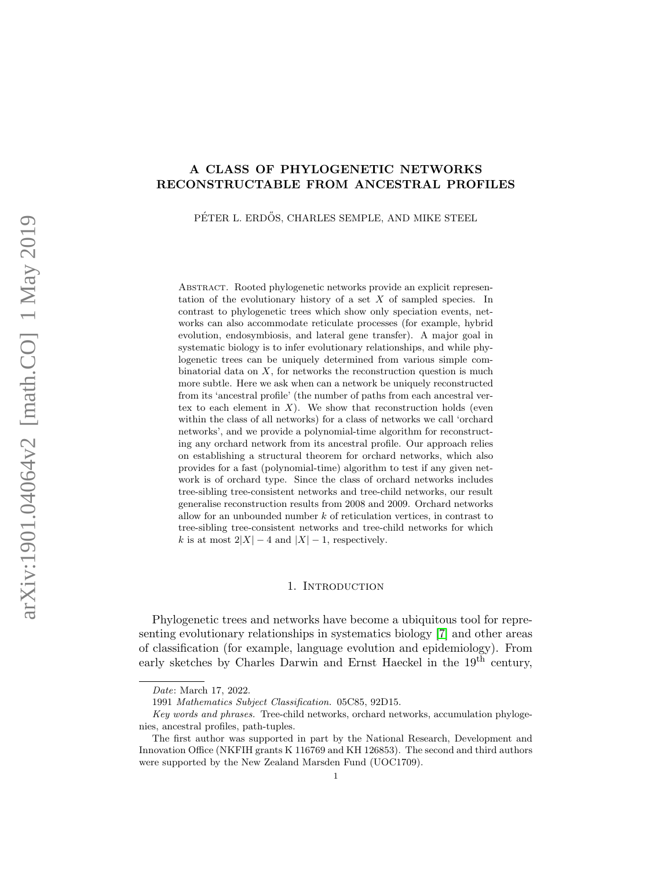# A CLASS OF PHYLOGENETIC NETWORKS RECONSTRUCTABLE FROM ANCESTRAL PROFILES

PÉTER L. ERDŐS, CHARLES SEMPLE, AND MIKE STEEL

ABSTRACT. Rooted phylogenetic networks provide an explicit representation of the evolutionary history of a set  $X$  of sampled species. In contrast to phylogenetic trees which show only speciation events, networks can also accommodate reticulate processes (for example, hybrid evolution, endosymbiosis, and lateral gene transfer). A major goal in systematic biology is to infer evolutionary relationships, and while phylogenetic trees can be uniquely determined from various simple combinatorial data on  $X$ , for networks the reconstruction question is much more subtle. Here we ask when can a network be uniquely reconstructed from its 'ancestral profile' (the number of paths from each ancestral vertex to each element in  $X$ ). We show that reconstruction holds (even within the class of all networks) for a class of networks we call 'orchard networks', and we provide a polynomial-time algorithm for reconstructing any orchard network from its ancestral profile. Our approach relies on establishing a structural theorem for orchard networks, which also provides for a fast (polynomial-time) algorithm to test if any given network is of orchard type. Since the class of orchard networks includes tree-sibling tree-consistent networks and tree-child networks, our result generalise reconstruction results from 2008 and 2009. Orchard networks allow for an unbounded number  $k$  of reticulation vertices, in contrast to tree-sibling tree-consistent networks and tree-child networks for which k is at most  $2|X| - 4$  and  $|X| - 1$ , respectively.

# 1. INTRODUCTION

Phylogenetic trees and networks have become a ubiquitous tool for representing evolutionary relationships in systematics biology [\[7\]](#page-19-0) and other areas of classification (for example, language evolution and epidemiology). From early sketches by Charles Darwin and Ernst Haeckel in the 19<sup>th</sup> century,

Date: March 17, 2022.

<sup>1991</sup> Mathematics Subject Classification. 05C85, 92D15.

Key words and phrases. Tree-child networks, orchard networks, accumulation phylogenies, ancestral profiles, path-tuples.

The first author was supported in part by the National Research, Development and Innovation Office (NKFIH grants K 116769 and KH 126853). The second and third authors were supported by the New Zealand Marsden Fund (UOC1709).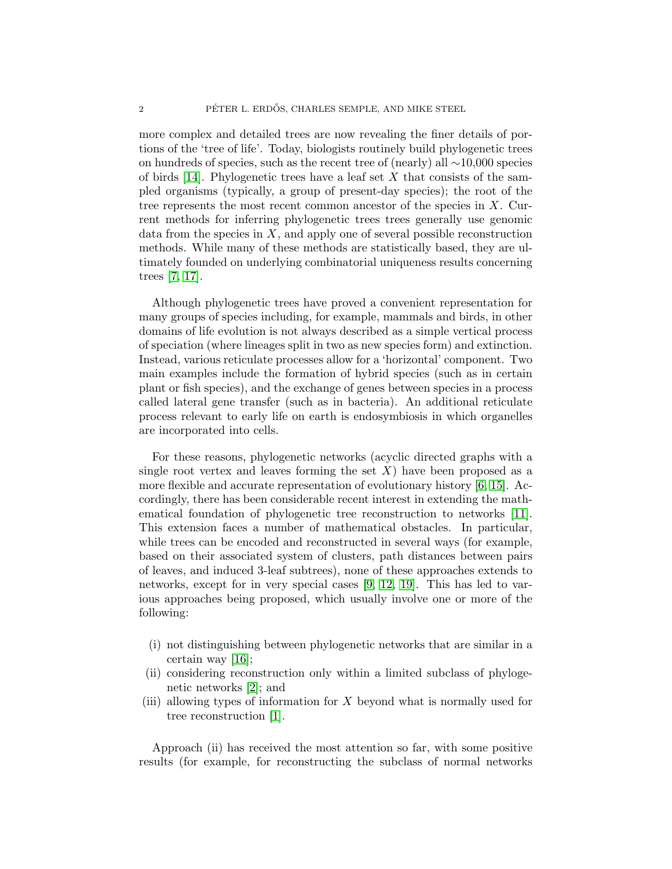more complex and detailed trees are now revealing the finer details of portions of the 'tree of life'. Today, biologists routinely build phylogenetic trees on hundreds of species, such as the recent tree of (nearly) all ∼10,000 species of birds  $[14]$ . Phylogenetic trees have a leaf set X that consists of the sampled organisms (typically, a group of present-day species); the root of the tree represents the most recent common ancestor of the species in  $X$ . Current methods for inferring phylogenetic trees trees generally use genomic data from the species in  $X$ , and apply one of several possible reconstruction methods. While many of these methods are statistically based, they are ultimately founded on underlying combinatorial uniqueness results concerning trees [\[7,](#page-19-0) [17\]](#page-19-2).

Although phylogenetic trees have proved a convenient representation for many groups of species including, for example, mammals and birds, in other domains of life evolution is not always described as a simple vertical process of speciation (where lineages split in two as new species form) and extinction. Instead, various reticulate processes allow for a 'horizontal' component. Two main examples include the formation of hybrid species (such as in certain plant or fish species), and the exchange of genes between species in a process called lateral gene transfer (such as in bacteria). An additional reticulate process relevant to early life on earth is endosymbiosis in which organelles are incorporated into cells.

For these reasons, phylogenetic networks (acyclic directed graphs with a single root vertex and leaves forming the set  $X$ ) have been proposed as a more flexible and accurate representation of evolutionary history [\[6,](#page-19-3) [15\]](#page-19-4). Accordingly, there has been considerable recent interest in extending the mathematical foundation of phylogenetic tree reconstruction to networks [\[11\]](#page-19-5). This extension faces a number of mathematical obstacles. In particular, while trees can be encoded and reconstructed in several ways (for example, based on their associated system of clusters, path distances between pairs of leaves, and induced 3-leaf subtrees), none of these approaches extends to networks, except for in very special cases [\[9,](#page-19-6) [12,](#page-19-7) [19\]](#page-19-8). This has led to various approaches being proposed, which usually involve one or more of the following:

- (i) not distinguishing between phylogenetic networks that are similar in a certain way [\[16\]](#page-19-9);
- (ii) considering reconstruction only within a limited subclass of phylogenetic networks [\[2\]](#page-18-0); and
- (iii) allowing types of information for X beyond what is normally used for tree reconstruction [\[1\]](#page-18-1).

Approach (ii) has received the most attention so far, with some positive results (for example, for reconstructing the subclass of normal networks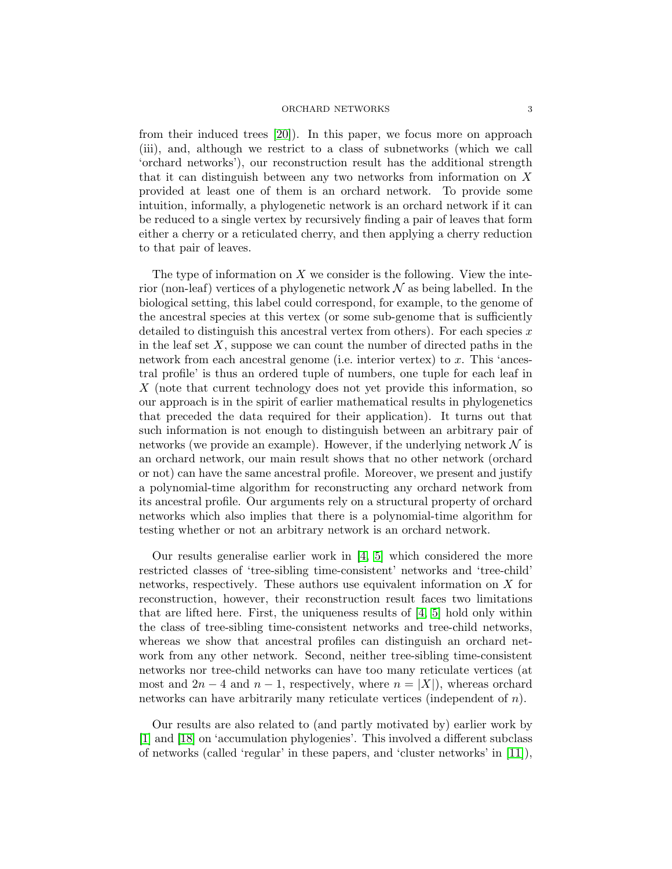from their induced trees [\[20\]](#page-19-10)). In this paper, we focus more on approach (iii), and, although we restrict to a class of subnetworks (which we call 'orchard networks'), our reconstruction result has the additional strength that it can distinguish between any two networks from information on  $X$ provided at least one of them is an orchard network. To provide some intuition, informally, a phylogenetic network is an orchard network if it can be reduced to a single vertex by recursively finding a pair of leaves that form either a cherry or a reticulated cherry, and then applying a cherry reduction to that pair of leaves.

The type of information on  $X$  we consider is the following. View the interior (non-leaf) vertices of a phylogenetic network  $\mathcal N$  as being labelled. In the biological setting, this label could correspond, for example, to the genome of the ancestral species at this vertex (or some sub-genome that is sufficiently detailed to distinguish this ancestral vertex from others). For each species  $x$ in the leaf set  $X$ , suppose we can count the number of directed paths in the network from each ancestral genome (i.e. interior vertex) to x. This 'ancestral profile' is thus an ordered tuple of numbers, one tuple for each leaf in X (note that current technology does not yet provide this information, so our approach is in the spirit of earlier mathematical results in phylogenetics that preceded the data required for their application). It turns out that such information is not enough to distinguish between an arbitrary pair of networks (we provide an example). However, if the underlying network  $\mathcal N$  is an orchard network, our main result shows that no other network (orchard or not) can have the same ancestral profile. Moreover, we present and justify a polynomial-time algorithm for reconstructing any orchard network from its ancestral profile. Our arguments rely on a structural property of orchard networks which also implies that there is a polynomial-time algorithm for testing whether or not an arbitrary network is an orchard network.

Our results generalise earlier work in [\[4,](#page-19-11) [5\]](#page-19-12) which considered the more restricted classes of 'tree-sibling time-consistent' networks and 'tree-child' networks, respectively. These authors use equivalent information on X for reconstruction, however, their reconstruction result faces two limitations that are lifted here. First, the uniqueness results of  $[4, 5]$  $[4, 5]$  hold only within the class of tree-sibling time-consistent networks and tree-child networks, whereas we show that ancestral profiles can distinguish an orchard network from any other network. Second, neither tree-sibling time-consistent networks nor tree-child networks can have too many reticulate vertices (at most and  $2n-4$  and  $n-1$ , respectively, where  $n = |X|$ , whereas orchard networks can have arbitrarily many reticulate vertices (independent of n).

Our results are also related to (and partly motivated by) earlier work by [\[1\]](#page-18-1) and [\[18\]](#page-19-13) on 'accumulation phylogenies'. This involved a different subclass of networks (called 'regular' in these papers, and 'cluster networks' in [\[11\]](#page-19-5)),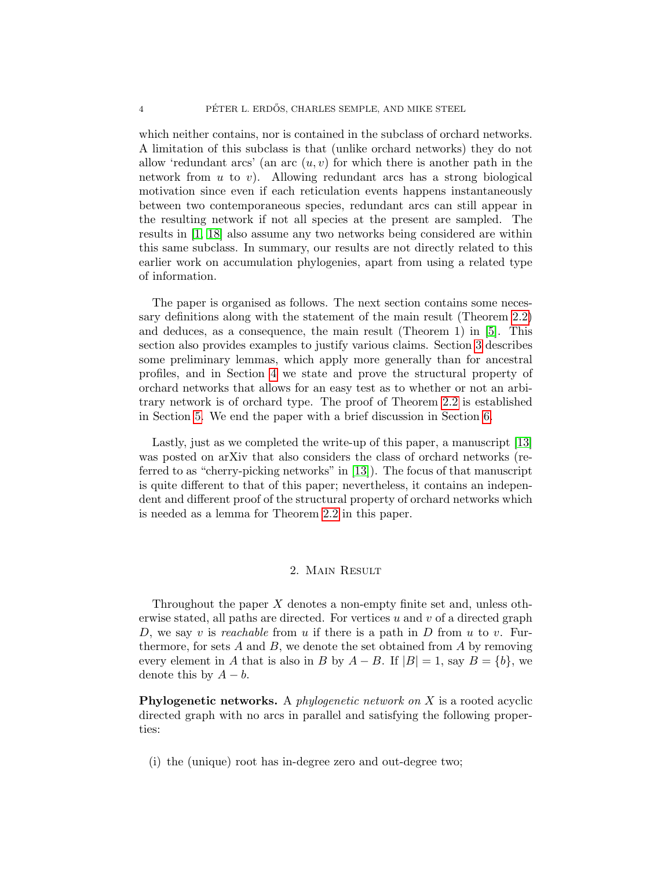which neither contains, nor is contained in the subclass of orchard networks. A limitation of this subclass is that (unlike orchard networks) they do not allow 'redundant arcs' (an arc  $(u, v)$  for which there is another path in the network from  $u$  to  $v$ ). Allowing redundant arcs has a strong biological motivation since even if each reticulation events happens instantaneously between two contemporaneous species, redundant arcs can still appear in the resulting network if not all species at the present are sampled. The results in [\[1,](#page-18-1) [18\]](#page-19-13) also assume any two networks being considered are within this same subclass. In summary, our results are not directly related to this earlier work on accumulation phylogenies, apart from using a related type of information.

The paper is organised as follows. The next section contains some necessary definitions along with the statement of the main result (Theorem [2.2\)](#page-7-0) and deduces, as a consequence, the main result (Theorem 1) in [\[5\]](#page-19-12). This section also provides examples to justify various claims. Section [3](#page-10-0) describes some preliminary lemmas, which apply more generally than for ancestral profiles, and in Section [4](#page-11-0) we state and prove the structural property of orchard networks that allows for an easy test as to whether or not an arbitrary network is of orchard type. The proof of Theorem [2.2](#page-7-0) is established in Section [5.](#page-13-0) We end the paper with a brief discussion in Section [6.](#page-18-2)

Lastly, just as we completed the write-up of this paper, a manuscript [\[13\]](#page-19-14) was posted on arXiv that also considers the class of orchard networks (referred to as "cherry-picking networks" in [\[13\]](#page-19-14)). The focus of that manuscript is quite different to that of this paper; nevertheless, it contains an independent and different proof of the structural property of orchard networks which is needed as a lemma for Theorem [2.2](#page-7-0) in this paper.

## 2. Main Result

Throughout the paper  $X$  denotes a non-empty finite set and, unless otherwise stated, all paths are directed. For vertices  $u$  and  $v$  of a directed graph D, we say v is reachable from u if there is a path in D from u to v. Furthermore, for sets  $A$  and  $B$ , we denote the set obtained from  $A$  by removing every element in A that is also in B by  $A - B$ . If  $|B| = 1$ , say  $B = \{b\}$ , we denote this by  $A - b$ .

**Phylogenetic networks.** A *phylogenetic network on*  $X$  is a rooted acyclic directed graph with no arcs in parallel and satisfying the following properties:

(i) the (unique) root has in-degree zero and out-degree two;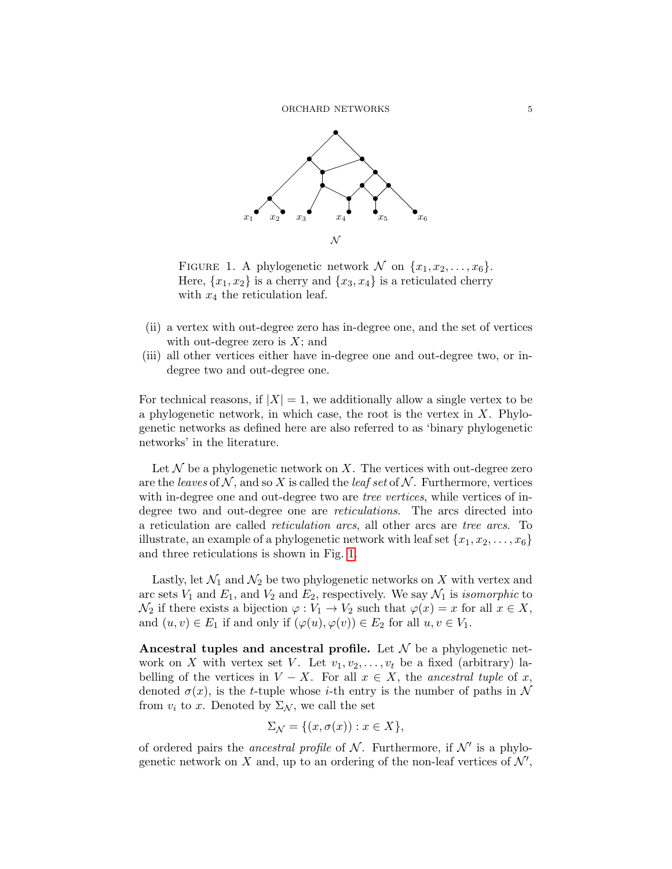

<span id="page-4-0"></span>FIGURE 1. A phylogenetic network  $\mathcal N$  on  $\{x_1, x_2, \ldots, x_6\}.$ Here,  $\{x_1, x_2\}$  is a cherry and  $\{x_3, x_4\}$  is a reticulated cherry with  $x_4$  the reticulation leaf.

- (ii) a vertex with out-degree zero has in-degree one, and the set of vertices with out-degree zero is  $X$ ; and
- (iii) all other vertices either have in-degree one and out-degree two, or indegree two and out-degree one.

For technical reasons, if  $|X| = 1$ , we additionally allow a single vertex to be a phylogenetic network, in which case, the root is the vertex in  $X$ . Phylogenetic networks as defined here are also referred to as 'binary phylogenetic networks' in the literature.

Let  $\mathcal N$  be a phylogenetic network on X. The vertices with out-degree zero are the leaves of N, and so X is called the leaf set of N. Furthermore, vertices with in-degree one and out-degree two are *tree vertices*, while vertices of indegree two and out-degree one are reticulations. The arcs directed into a reticulation are called reticulation arcs, all other arcs are tree arcs. To illustrate, an example of a phylogenetic network with leaf set  $\{x_1, x_2, \ldots, x_6\}$ and three reticulations is shown in Fig. [1.](#page-4-0)

Lastly, let  $\mathcal{N}_1$  and  $\mathcal{N}_2$  be two phylogenetic networks on X with vertex and arc sets  $V_1$  and  $E_1$ , and  $V_2$  and  $E_2$ , respectively. We say  $\mathcal{N}_1$  is *isomorphic* to  $\mathcal{N}_2$  if there exists a bijection  $\varphi: V_1 \to V_2$  such that  $\varphi(x) = x$  for all  $x \in X$ , and  $(u, v) \in E_1$  if and only if  $(\varphi(u), \varphi(v)) \in E_2$  for all  $u, v \in V_1$ .

Ancestral tuples and ancestral profile. Let  $\mathcal N$  be a phylogenetic network on X with vertex set V. Let  $v_1, v_2, \ldots, v_t$  be a fixed (arbitrary) labelling of the vertices in  $V - X$ . For all  $x \in X$ , the ancestral tuple of x, denoted  $\sigma(x)$ , is the t-tuple whose i-th entry is the number of paths in N from  $v_i$  to x. Denoted by  $\Sigma_{\mathcal{N}}$ , we call the set

$$
\Sigma_{\mathcal{N}} = \{ (x, \sigma(x)) : x \in X \},
$$

of ordered pairs the *ancestral profile* of  $N$ . Furthermore, if  $N'$  is a phylogenetic network on X and, up to an ordering of the non-leaf vertices of  $\mathcal{N}'$ ,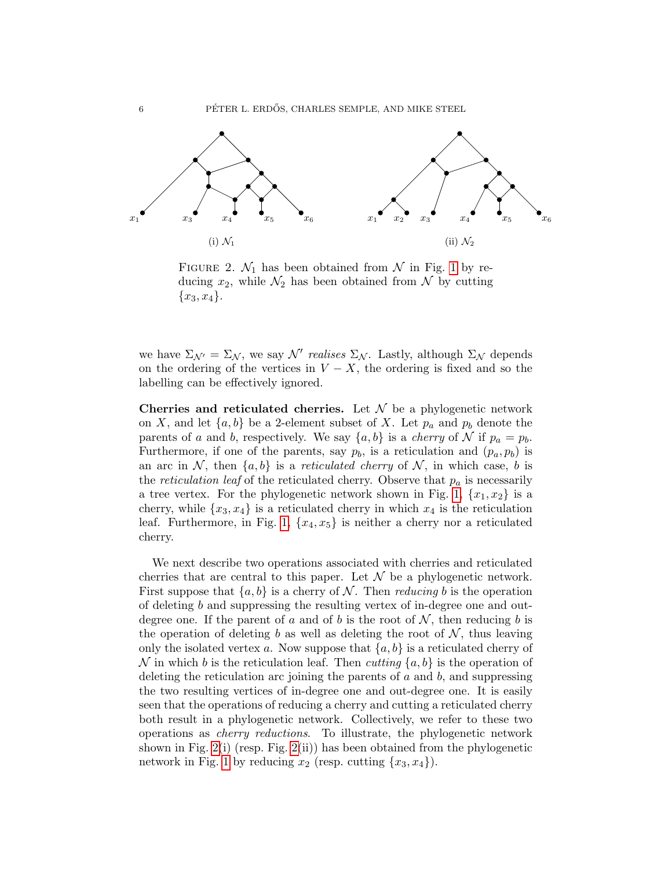

<span id="page-5-0"></span>FIGURE 2.  $\mathcal{N}_1$  has been obtained from  $\mathcal N$  in Fig. [1](#page-4-0) by reducing  $x_2$ , while  $\mathcal{N}_2$  has been obtained from  $\mathcal N$  by cutting  ${x_3, x_4}.$ 

we have  $\Sigma_{\mathcal{N}'} = \Sigma_{\mathcal{N}}$ , we say  $\mathcal{N}'$  realises  $\Sigma_{\mathcal{N}}$ . Lastly, although  $\Sigma_{\mathcal{N}}$  depends on the ordering of the vertices in  $V - X$ , the ordering is fixed and so the labelling can be effectively ignored.

Cherries and reticulated cherries. Let  $\mathcal N$  be a phylogenetic network on X, and let  $\{a, b\}$  be a 2-element subset of X. Let  $p_a$  and  $p_b$  denote the parents of a and b, respectively. We say  $\{a, b\}$  is a *cherry* of N if  $p_a = p_b$ . Furthermore, if one of the parents, say  $p_b$ , is a reticulation and  $(p_a, p_b)$  is an arc in N, then  $\{a, b\}$  is a *reticulated cherry* of N, in which case, b is the *reticulation leaf* of the reticulated cherry. Observe that  $p_a$  is necessarily a tree vertex. For the phylogenetic network shown in Fig. [1,](#page-4-0)  $\{x_1, x_2\}$  is a cherry, while  $\{x_3, x_4\}$  is a reticulated cherry in which  $x_4$  is the reticulation leaf. Furthermore, in Fig. [1,](#page-4-0)  $\{x_4, x_5\}$  is neither a cherry nor a reticulated cherry.

We next describe two operations associated with cherries and reticulated cherries that are central to this paper. Let  $\mathcal N$  be a phylogenetic network. First suppose that  $\{a, b\}$  is a cherry of N. Then *reducing* b is the operation of deleting b and suppressing the resulting vertex of in-degree one and outdegree one. If the parent of a and of b is the root of  $\mathcal{N}$ , then reducing b is the operation of deleting b as well as deleting the root of  $N$ , thus leaving only the isolated vertex a. Now suppose that  ${a, b}$  is a reticulated cherry of N in which b is the reticulation leaf. Then cutting  $\{a, b\}$  is the operation of deleting the reticulation arc joining the parents of  $a$  and  $b$ , and suppressing the two resulting vertices of in-degree one and out-degree one. It is easily seen that the operations of reducing a cherry and cutting a reticulated cherry both result in a phylogenetic network. Collectively, we refer to these two operations as cherry reductions. To illustrate, the phylogenetic network shown in Fig. [2\(](#page-5-0)i) (resp. Fig. [2\(](#page-5-0)ii)) has been obtained from the phylogenetic network in Fig. [1](#page-4-0) by reducing  $x_2$  (resp. cutting  $\{x_3, x_4\}$ ).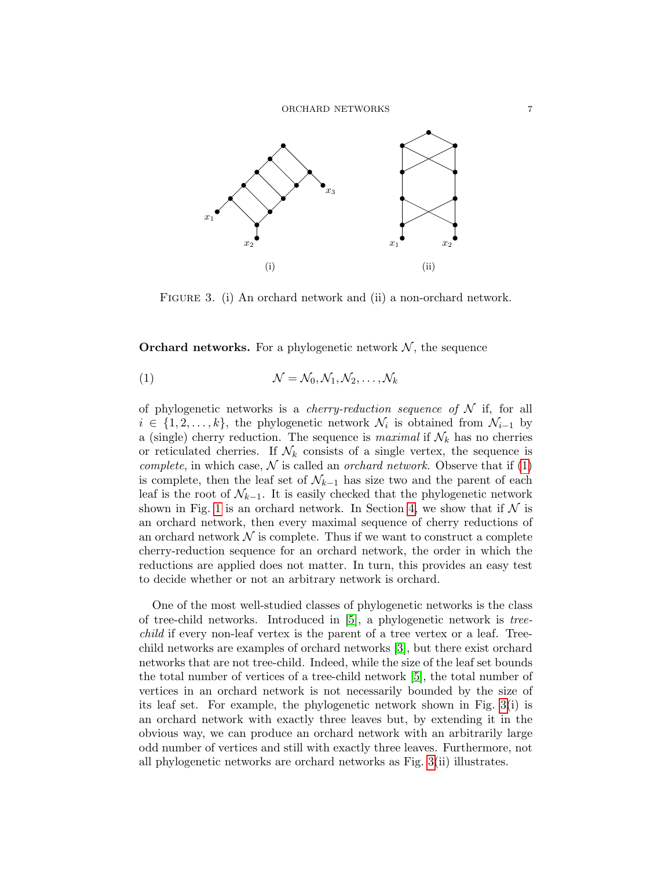

<span id="page-6-1"></span>FIGURE 3. (i) An orchard network and (ii) a non-orchard network.

**Orchard networks.** For a phylogenetic network  $\mathcal{N}$ , the sequence

<span id="page-6-0"></span>(1) N = N0, N1, N2, . . . , N<sup>k</sup>

of phylogenetic networks is a *cherry-reduction sequence of*  $N$  if, for all  $i \in \{1, 2, \ldots, k\}$ , the phylogenetic network  $\mathcal{N}_i$  is obtained from  $\mathcal{N}_{i-1}$  by a (single) cherry reduction. The sequence is *maximal* if  $\mathcal{N}_k$  has no cherries or reticulated cherries. If  $\mathcal{N}_k$  consists of a single vertex, the sequence is complete, in which case,  $\mathcal N$  is called an *orchard network*. Observe that if [\(1\)](#page-6-0) is complete, then the leaf set of  $\mathcal{N}_{k-1}$  has size two and the parent of each leaf is the root of  $\mathcal{N}_{k-1}$ . It is easily checked that the phylogenetic network shown in Fig. [1](#page-4-0) is an orchard network. In Section [4,](#page-11-0) we show that if  $\mathcal N$  is an orchard network, then every maximal sequence of cherry reductions of an orchard network  $\mathcal N$  is complete. Thus if we want to construct a complete cherry-reduction sequence for an orchard network, the order in which the reductions are applied does not matter. In turn, this provides an easy test to decide whether or not an arbitrary network is orchard.

One of the most well-studied classes of phylogenetic networks is the class of tree-child networks. Introduced in [\[5\]](#page-19-12), a phylogenetic network is treechild if every non-leaf vertex is the parent of a tree vertex or a leaf. Treechild networks are examples of orchard networks [\[3\]](#page-19-15), but there exist orchard networks that are not tree-child. Indeed, while the size of the leaf set bounds the total number of vertices of a tree-child network [\[5\]](#page-19-12), the total number of vertices in an orchard network is not necessarily bounded by the size of its leaf set. For example, the phylogenetic network shown in Fig. [3\(](#page-6-1)i) is an orchard network with exactly three leaves but, by extending it in the obvious way, we can produce an orchard network with an arbitrarily large odd number of vertices and still with exactly three leaves. Furthermore, not all phylogenetic networks are orchard networks as Fig. [3\(](#page-6-1)ii) illustrates.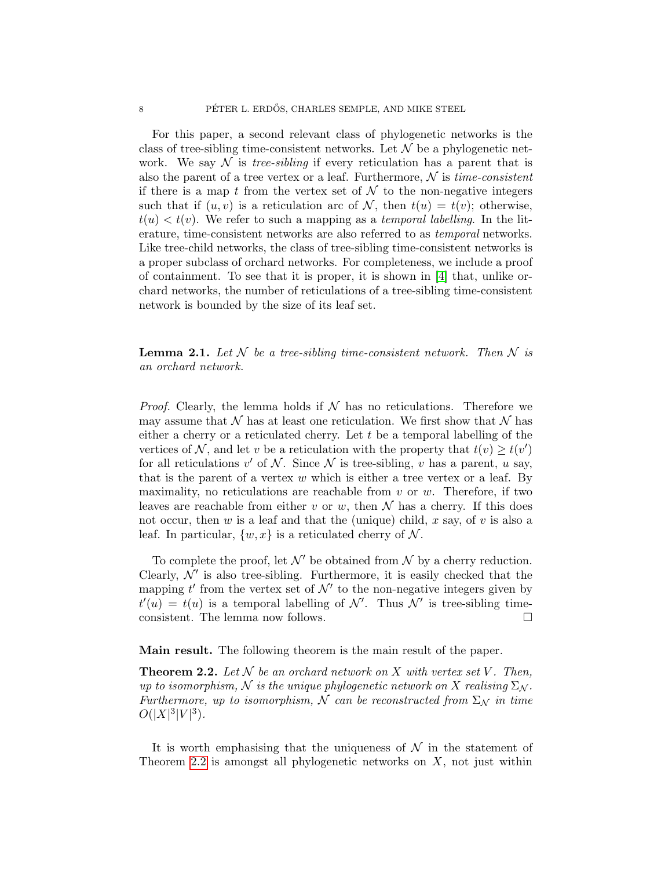For this paper, a second relevant class of phylogenetic networks is the class of tree-sibling time-consistent networks. Let  $\mathcal N$  be a phylogenetic network. We say  $\mathcal N$  is *tree-sibling* if every reticulation has a parent that is also the parent of a tree vertex or a leaf. Furthermore,  $\mathcal N$  is time-consistent if there is a map t from the vertex set of  $\mathcal N$  to the non-negative integers such that if  $(u, v)$  is a reticulation arc of N, then  $t(u) = t(v)$ ; otherwise,  $t(u) < t(v)$ . We refer to such a mapping as a temporal labelling. In the literature, time-consistent networks are also referred to as temporal networks. Like tree-child networks, the class of tree-sibling time-consistent networks is a proper subclass of orchard networks. For completeness, we include a proof of containment. To see that it is proper, it is shown in [\[4\]](#page-19-11) that, unlike orchard networks, the number of reticulations of a tree-sibling time-consistent network is bounded by the size of its leaf set.

**Lemma 2.1.** Let N be a tree-sibling time-consistent network. Then N is an orchard network.

*Proof.* Clearly, the lemma holds if  $N$  has no reticulations. Therefore we may assume that  $\mathcal N$  has at least one reticulation. We first show that  $\mathcal N$  has either a cherry or a reticulated cherry. Let  $t$  be a temporal labelling of the vertices of N, and let v be a reticulation with the property that  $t(v) \geq t(v')$ for all reticulations  $v'$  of  $\mathcal N$ . Since  $\mathcal N$  is tree-sibling,  $v$  has a parent,  $u$  say, that is the parent of a vertex  $w$  which is either a tree vertex or a leaf. By maximality, no reticulations are reachable from  $v$  or  $w$ . Therefore, if two leaves are reachable from either v or w, then  $\mathcal N$  has a cherry. If this does not occur, then w is a leaf and that the (unique) child, x say, of v is also a leaf. In particular,  $\{w, x\}$  is a reticulated cherry of N.

To complete the proof, let  $\mathcal{N}'$  be obtained from  $\mathcal N$  by a cherry reduction. Clearly,  $\mathcal{N}'$  is also tree-sibling. Furthermore, it is easily checked that the mapping  $t'$  from the vertex set of  $\mathcal{N}'$  to the non-negative integers given by  $t'(u) = t(u)$  is a temporal labelling of N'. Thus N' is tree-sibling timeconsistent. The lemma now follows.

Main result. The following theorem is the main result of the paper.

<span id="page-7-0"></span>**Theorem 2.2.** Let  $N$  be an orchard network on  $X$  with vertex set  $V$ . Then, up to isomorphism, N is the unique phylogenetic network on X realising  $\Sigma_{\mathcal{N}}$ . Furthermore, up to isomorphism, N can be reconstructed from  $\Sigma_N$  in time  $O(|X|^3|V|^3)$ .

It is worth emphasising that the uniqueness of  $\mathcal N$  in the statement of Theorem [2.2](#page-7-0) is amongst all phylogenetic networks on  $X$ , not just within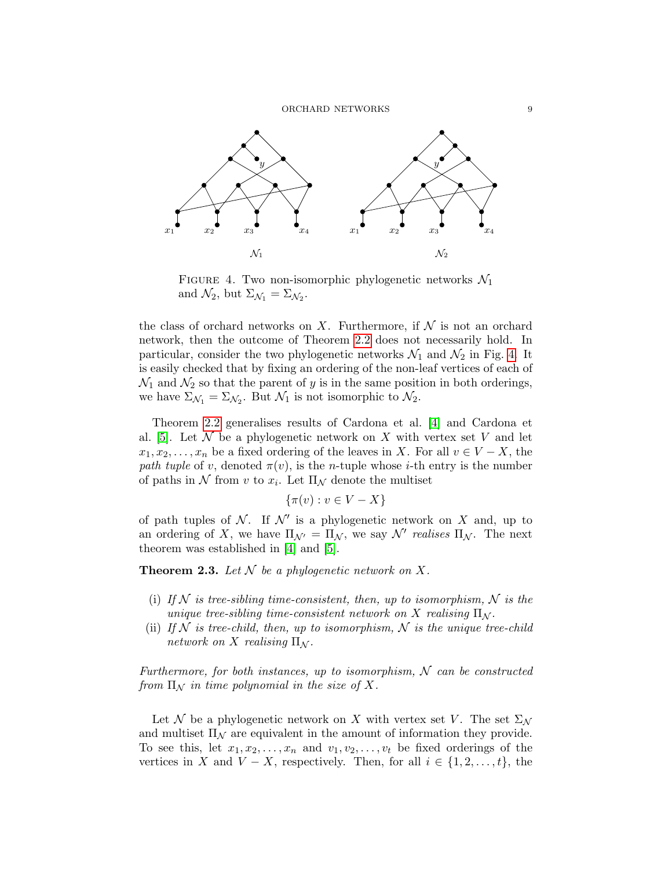

<span id="page-8-0"></span>FIGURE 4. Two non-isomorphic phylogenetic networks  $\mathcal{N}_1$ and  $\mathcal{N}_2$ , but  $\Sigma_{\mathcal{N}_1} = \Sigma_{\mathcal{N}_2}$ .

the class of orchard networks on X. Furthermore, if  $\mathcal N$  is not an orchard network, then the outcome of Theorem [2.2](#page-7-0) does not necessarily hold. In particular, consider the two phylogenetic networks  $\mathcal{N}_1$  and  $\mathcal{N}_2$  in Fig. [4.](#page-8-0) It is easily checked that by fixing an ordering of the non-leaf vertices of each of  $\mathcal{N}_1$  and  $\mathcal{N}_2$  so that the parent of y is in the same position in both orderings, we have  $\Sigma_{\mathcal{N}_1} = \Sigma_{\mathcal{N}_2}$ . But  $\mathcal{N}_1$  is not isomorphic to  $\mathcal{N}_2$ .

Theorem [2.2](#page-7-0) generalises results of Cardona et al. [\[4\]](#page-19-11) and Cardona et al. [\[5\]](#page-19-12). Let  $\mathcal N$  be a phylogenetic network on X with vertex set V and let  $x_1, x_2, \ldots, x_n$  be a fixed ordering of the leaves in X. For all  $v \in V - X$ , the path tuple of v, denoted  $\pi(v)$ , is the n-tuple whose *i*-th entry is the number of paths in N from v to  $x_i$ . Let  $\Pi_{\mathcal{N}}$  denote the multiset

$$
\{\pi(v) : v \in V - X\}
$$

of path tuples of N. If  $\mathcal{N}'$  is a phylogenetic network on X and, up to an ordering of X, we have  $\Pi_{\mathcal{N}'} = \Pi_{\mathcal{N}}$ , we say  $\mathcal{N}'$  realises  $\Pi_{\mathcal{N}}$ . The next theorem was established in [\[4\]](#page-19-11) and [\[5\]](#page-19-12).

**Theorem 2.3.** Let  $N$  be a phylogenetic network on X.

- (i) If N is tree-sibling time-consistent, then, up to isomorphism, N is the unique tree-sibling time-consistent network on X realising  $\Pi_N$ .
- <span id="page-8-1"></span>(ii) If  $N$  is tree-child, then, up to isomorphism,  $N$  is the unique tree-child network on X realising  $\Pi_{\mathcal{N}}$ .

Furthermore, for both instances, up to isomorphism,  $N$  can be constructed from  $\Pi_{\mathcal{N}}$  in time polynomial in the size of X.

Let N be a phylogenetic network on X with vertex set V. The set  $\Sigma_{\mathcal{N}}$ and multiset  $\Pi_N$  are equivalent in the amount of information they provide. To see this, let  $x_1, x_2, \ldots, x_n$  and  $v_1, v_2, \ldots, v_t$  be fixed orderings of the vertices in X and  $V - X$ , respectively. Then, for all  $i \in \{1, 2, \ldots, t\}$ , the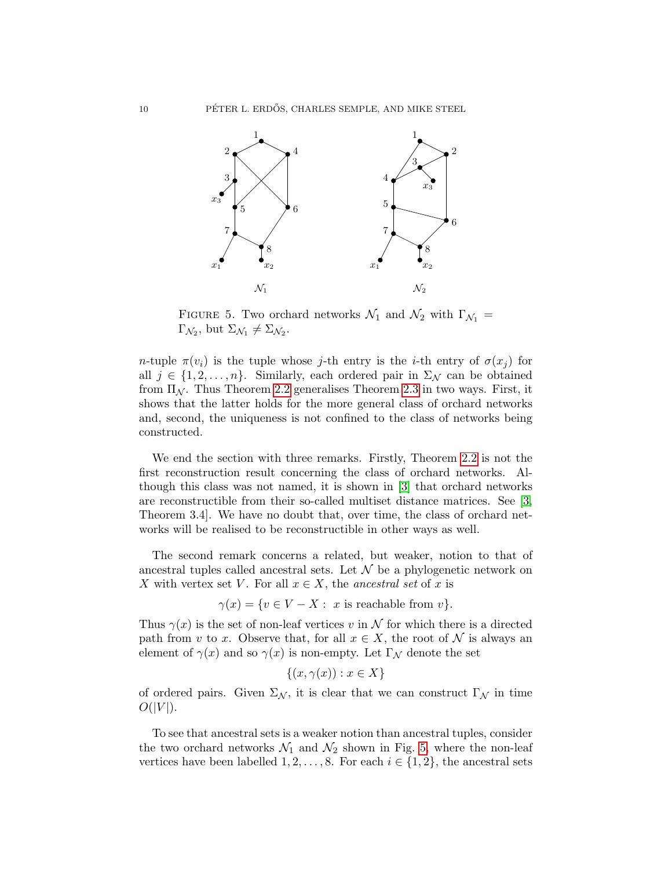

<span id="page-9-0"></span>FIGURE 5. Two orchard networks  $\mathcal{N}_1$  and  $\mathcal{N}_2$  with  $\Gamma_{\mathcal{N}_1}$  =  $\Gamma_{\mathcal{N}_2}$ , but  $\Sigma_{\mathcal{N}_1} \neq \Sigma_{\mathcal{N}_2}$ .

n-tuple  $\pi(v_i)$  is the tuple whose j-th entry is the *i*-th entry of  $\sigma(x_j)$  for all  $j \in \{1, 2, \ldots, n\}$ . Similarly, each ordered pair in  $\Sigma_{\mathcal{N}}$  can be obtained from  $\Pi_{\mathcal{N}}$ . Thus Theorem [2.2](#page-7-0) generalises Theorem [2.3](#page-8-1) in two ways. First, it shows that the latter holds for the more general class of orchard networks and, second, the uniqueness is not confined to the class of networks being constructed.

We end the section with three remarks. Firstly, Theorem [2.2](#page-7-0) is not the first reconstruction result concerning the class of orchard networks. Although this class was not named, it is shown in [\[3\]](#page-19-15) that orchard networks are reconstructible from their so-called multiset distance matrices. See [\[3,](#page-19-15) Theorem 3.4]. We have no doubt that, over time, the class of orchard networks will be realised to be reconstructible in other ways as well.

The second remark concerns a related, but weaker, notion to that of ancestral tuples called ancestral sets. Let  $\mathcal N$  be a phylogenetic network on X with vertex set V. For all  $x \in X$ , the ancestral set of x is

$$
\gamma(x) = \{ v \in V - X : x \text{ is reachable from } v \}.
$$

Thus  $\gamma(x)$  is the set of non-leaf vertices v in N for which there is a directed path from v to x. Observe that, for all  $x \in X$ , the root of N is always an element of  $\gamma(x)$  and so  $\gamma(x)$  is non-empty. Let  $\Gamma_{\mathcal{N}}$  denote the set

$$
\{(x, \gamma(x)) : x \in X\}
$$

of ordered pairs. Given  $\Sigma_{\mathcal{N}}$ , it is clear that we can construct  $\Gamma_{\mathcal{N}}$  in time  $O(|V|)$ .

To see that ancestral sets is a weaker notion than ancestral tuples, consider the two orchard networks  $\mathcal{N}_1$  and  $\mathcal{N}_2$  shown in Fig. [5,](#page-9-0) where the non-leaf vertices have been labelled  $1, 2, \ldots, 8$ . For each  $i \in \{1, 2\}$ , the ancestral sets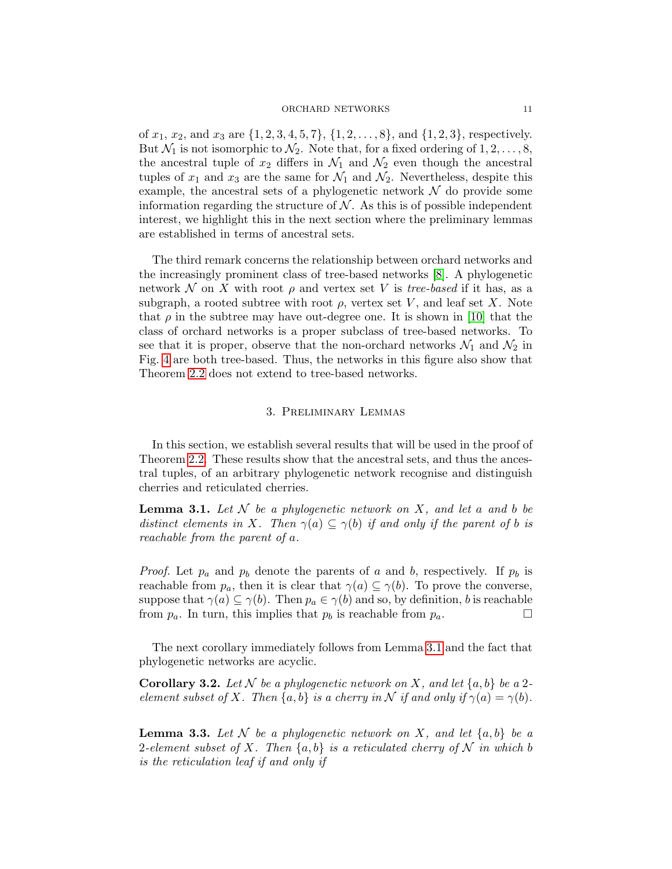of  $x_1, x_2$ , and  $x_3$  are  $\{1, 2, 3, 4, 5, 7\}$ ,  $\{1, 2, \ldots, 8\}$ , and  $\{1, 2, 3\}$ , respectively. But  $\mathcal{N}_1$  is not isomorphic to  $\mathcal{N}_2$ . Note that, for a fixed ordering of  $1, 2, \ldots, 8$ , the ancestral tuple of  $x_2$  differs in  $\mathcal{N}_1$  and  $\mathcal{N}_2$  even though the ancestral tuples of  $x_1$  and  $x_3$  are the same for  $\mathcal{N}_1$  and  $\mathcal{N}_2$ . Nevertheless, despite this example, the ancestral sets of a phylogenetic network  $\mathcal N$  do provide some information regarding the structure of  $N$ . As this is of possible independent interest, we highlight this in the next section where the preliminary lemmas are established in terms of ancestral sets.

The third remark concerns the relationship between orchard networks and the increasingly prominent class of tree-based networks [\[8\]](#page-19-16). A phylogenetic network N on X with root  $\rho$  and vertex set V is *tree-based* if it has, as a subgraph, a rooted subtree with root  $\rho$ , vertex set V, and leaf set X. Note that  $\rho$  in the subtree may have out-degree one. It is shown in [\[10\]](#page-19-17) that the class of orchard networks is a proper subclass of tree-based networks. To see that it is proper, observe that the non-orchard networks  $\mathcal{N}_1$  and  $\mathcal{N}_2$  in Fig. [4](#page-8-0) are both tree-based. Thus, the networks in this figure also show that Theorem [2.2](#page-7-0) does not extend to tree-based networks.

## 3. Preliminary Lemmas

<span id="page-10-0"></span>In this section, we establish several results that will be used in the proof of Theorem [2.2.](#page-7-0) These results show that the ancestral sets, and thus the ancestral tuples, of an arbitrary phylogenetic network recognise and distinguish cherries and reticulated cherries.

<span id="page-10-1"></span>**Lemma 3.1.** Let  $N$  be a phylogenetic network on  $X$ , and let a and b be distinct elements in X. Then  $\gamma(a) \subseteq \gamma(b)$  if and only if the parent of b is reachable from the parent of a.

*Proof.* Let  $p_a$  and  $p_b$  denote the parents of a and b, respectively. If  $p_b$  is reachable from  $p_a$ , then it is clear that  $\gamma(a) \subseteq \gamma(b)$ . To prove the converse, suppose that  $\gamma(a) \subseteq \gamma(b)$ . Then  $p_a \in \gamma(b)$  and so, by definition, b is reachable from  $p_a$ . In turn, this implies that  $p_b$  is reachable from  $p_a$ .

The next corollary immediately follows from Lemma [3.1](#page-10-1) and the fact that phylogenetic networks are acyclic.

<span id="page-10-2"></span>**Corollary 3.2.** Let N be a phylogenetic network on X, and let  $\{a, b\}$  be a 2element subset of X. Then  $\{a, b\}$  is a cherry in N if and only if  $\gamma(a) = \gamma(b)$ .

**Lemma 3.3.** Let N be a phylogenetic network on X, and let  $\{a, b\}$  be a 2-element subset of X. Then  $\{a, b\}$  is a reticulated cherry of N in which b is the reticulation leaf if and only if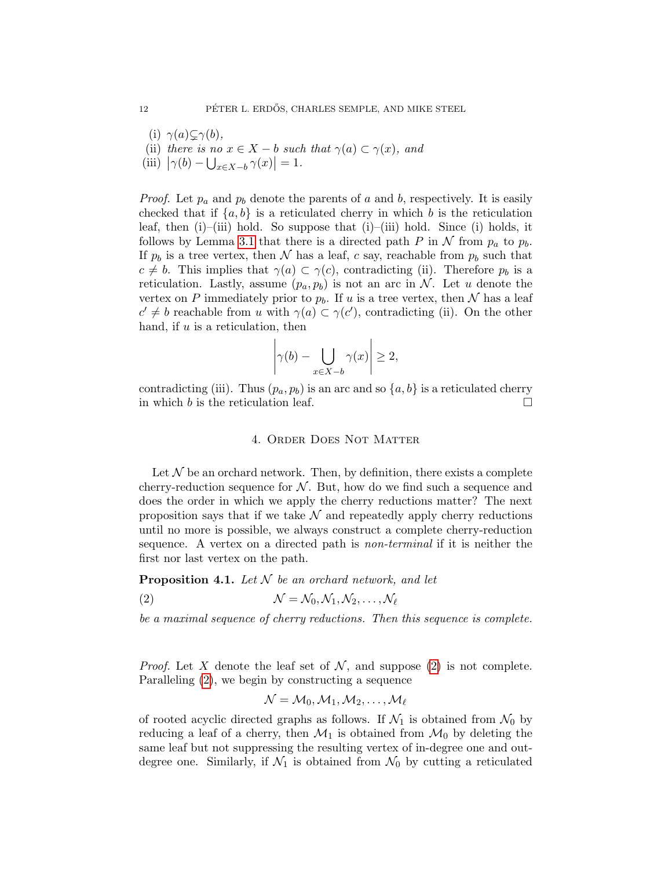- (i)  $\gamma(a) \subsetneq \gamma(b)$ ,
- (ii) there is no  $x \in X b$  such that  $\gamma(a) \subset \gamma(x)$ , and
- <span id="page-11-2"></span>(iii)  $|\gamma(b) - \bigcup_{x \in X - b} \gamma(x)| = 1.$

*Proof.* Let  $p_a$  and  $p_b$  denote the parents of a and b, respectively. It is easily checked that if  $\{a, b\}$  is a reticulated cherry in which b is the reticulation leaf, then  $(i)$ – $(iii)$  hold. So suppose that  $(i)$ – $(iii)$  hold. Since  $(i)$  holds, it follows by Lemma [3.1](#page-10-1) that there is a directed path P in N from  $p_a$  to  $p_b$ . If  $p_b$  is a tree vertex, then N has a leaf, c say, reachable from  $p_b$  such that  $c \neq b$ . This implies that  $\gamma(a) \subset \gamma(c)$ , contradicting (ii). Therefore  $p_b$  is a reticulation. Lastly, assume  $(p_a, p_b)$  is not an arc in N. Let u denote the vertex on P immediately prior to  $p_b$ . If u is a tree vertex, then N has a leaf  $c' \neq b$  reachable from u with  $\gamma(a) \subset \gamma(c')$ , contradicting (ii). On the other hand, if  $u$  is a reticulation, then

$$
\left|\gamma(b) - \bigcup_{x \in X - b} \gamma(x)\right| \ge 2,
$$

<span id="page-11-0"></span>contradicting (iii). Thus  $(p_a, p_b)$  is an arc and so  $\{a, b\}$  is a reticulated cherry in which b is the reticulation leaf.

# 4. Order Does Not Matter

Let  $\mathcal N$  be an orchard network. Then, by definition, there exists a complete cherry-reduction sequence for  $N$ . But, how do we find such a sequence and does the order in which we apply the cherry reductions matter? The next proposition says that if we take  $\mathcal N$  and repeatedly apply cherry reductions until no more is possible, we always construct a complete cherry-reduction sequence. A vertex on a directed path is non-terminal if it is neither the first nor last vertex on the path.

**Proposition 4.1.** Let  $N$  be an orchard network, and let

<span id="page-11-1"></span>(2) N = N0, N1, N2, . . . , N`

be a maximal sequence of cherry reductions. Then this sequence is complete.

*Proof.* Let X denote the leaf set of N, and suppose [\(2\)](#page-11-1) is not complete. Paralleling [\(2\)](#page-11-1), we begin by constructing a sequence

$$
\mathcal{N}=\mathcal{M}_0,\mathcal{M}_1,\mathcal{M}_2,\ldots,\mathcal{M}_\ell
$$

of rooted acyclic directed graphs as follows. If  $\mathcal{N}_1$  is obtained from  $\mathcal{N}_0$  by reducing a leaf of a cherry, then  $\mathcal{M}_1$  is obtained from  $\mathcal{M}_0$  by deleting the same leaf but not suppressing the resulting vertex of in-degree one and outdegree one. Similarly, if  $\mathcal{N}_1$  is obtained from  $\mathcal{N}_0$  by cutting a reticulated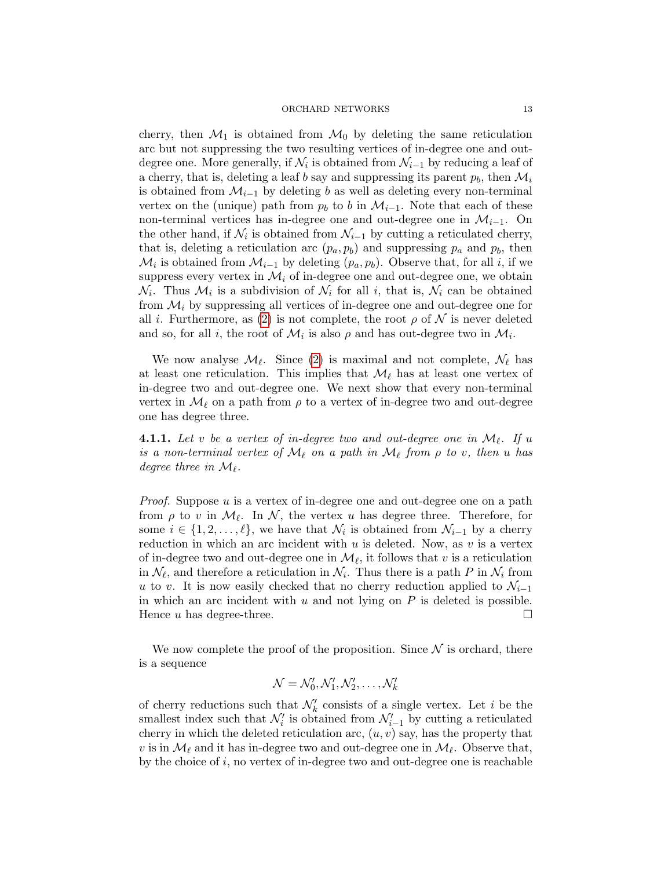cherry, then  $\mathcal{M}_1$  is obtained from  $\mathcal{M}_0$  by deleting the same reticulation arc but not suppressing the two resulting vertices of in-degree one and outdegree one. More generally, if  $\mathcal{N}_i$  is obtained from  $\mathcal{N}_{i-1}$  by reducing a leaf of a cherry, that is, deleting a leaf b say and suppressing its parent  $p_b$ , then  $\mathcal{M}_i$ is obtained from  $\mathcal{M}_{i-1}$  by deleting b as well as deleting every non-terminal vertex on the (unique) path from  $p_b$  to b in  $\mathcal{M}_{i-1}$ . Note that each of these non-terminal vertices has in-degree one and out-degree one in  $\mathcal{M}_{i-1}$ . On the other hand, if  $\mathcal{N}_i$  is obtained from  $\mathcal{N}_{i-1}$  by cutting a reticulated cherry, that is, deleting a reticulation arc  $(p_a, p_b)$  and suppressing  $p_a$  and  $p_b$ , then  $\mathcal{M}_i$  is obtained from  $\mathcal{M}_{i-1}$  by deleting  $(p_a, p_b)$ . Observe that, for all i, if we suppress every vertex in  $\mathcal{M}_i$  of in-degree one and out-degree one, we obtain  $\mathcal{N}_i$ . Thus  $\mathcal{M}_i$  is a subdivision of  $\mathcal{N}_i$  for all i, that is,  $\mathcal{N}_i$  can be obtained from  $\mathcal{M}_i$  by suppressing all vertices of in-degree one and out-degree one for all *i*. Furthermore, as [\(2\)](#page-11-1) is not complete, the root  $\rho$  of  $N$  is never deleted and so, for all *i*, the root of  $\mathcal{M}_i$  is also  $\rho$  and has out-degree two in  $\mathcal{M}_i$ .

We now analyse  $\mathcal{M}_{\ell}$ . Since [\(2\)](#page-11-1) is maximal and not complete,  $\mathcal{N}_{\ell}$  has at least one reticulation. This implies that  $\mathcal{M}_{\ell}$  has at least one vertex of in-degree two and out-degree one. We next show that every non-terminal vertex in  $\mathcal{M}_{\ell}$  on a path from  $\rho$  to a vertex of in-degree two and out-degree one has degree three.

<span id="page-12-0"></span>**4.1.1.** Let v be a vertex of in-degree two and out-degree one in  $\mathcal{M}_{\ell}$ . If u is a non-terminal vertex of  $\mathcal{M}_\ell$  on a path in  $\mathcal{M}_\ell$  from  $\rho$  to v, then u has degree three in  $\mathcal{M}_{\ell}$ .

Proof. Suppose u is a vertex of in-degree one and out-degree one on a path from  $\rho$  to v in  $\mathcal{M}_{\ell}$ . In  $\mathcal{N}$ , the vertex u has degree three. Therefore, for some  $i \in \{1, 2, \ldots, \ell\}$ , we have that  $\mathcal{N}_i$  is obtained from  $\mathcal{N}_{i-1}$  by a cherry reduction in which an arc incident with u is deleted. Now, as v is a vertex of in-degree two and out-degree one in  $\mathcal{M}_{\ell}$ , it follows that v is a reticulation in  $\mathcal{N}_{\ell}$ , and therefore a reticulation in  $\mathcal{N}_{i}$ . Thus there is a path P in  $\mathcal{N}_{i}$  from u to v. It is now easily checked that no cherry reduction applied to  $\mathcal{N}_{i-1}$ in which an arc incident with  $u$  and not lying on  $P$  is deleted is possible. Hence  $u$  has degree-three.

We now complete the proof of the proposition. Since  $\mathcal N$  is orchard, there is a sequence

$$
\mathcal{N} = \mathcal{N}'_0, \mathcal{N}'_1, \mathcal{N}'_2, \ldots, \mathcal{N}'_k
$$

of cherry reductions such that  $\mathcal{N}'_k$  consists of a single vertex. Let i be the smallest index such that  $\mathcal{N}'_i$  is obtained from  $\mathcal{N}'_{i-1}$  by cutting a reticulated cherry in which the deleted reticulation arc,  $(u, v)$  say, has the property that v is in  $\mathcal{M}_\ell$  and it has in-degree two and out-degree one in  $\mathcal{M}_\ell$ . Observe that, by the choice of  $i$ , no vertex of in-degree two and out-degree one is reachable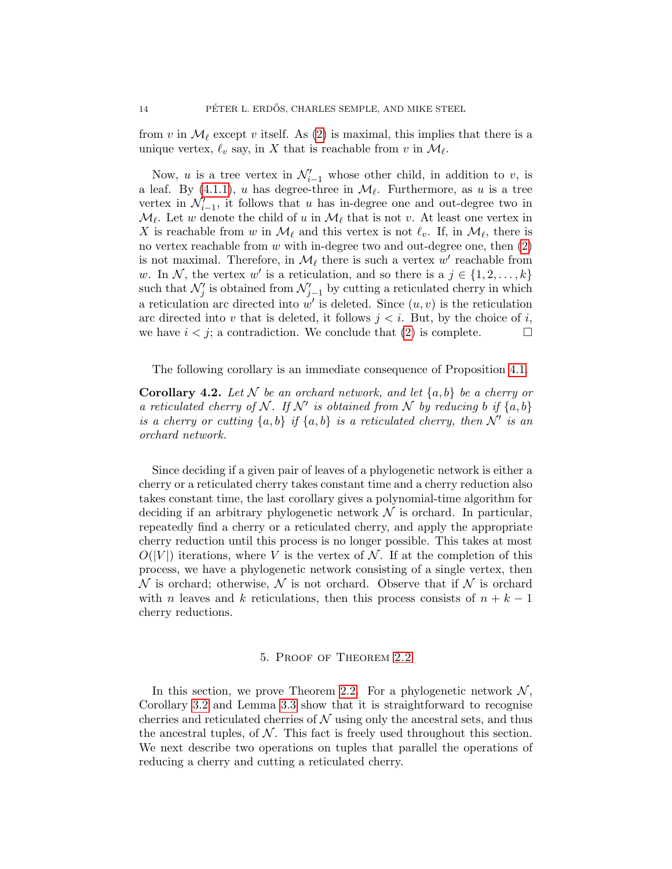from v in  $\mathcal{M}_{\ell}$  except v itself. As [\(2\)](#page-11-1) is maximal, this implies that there is a unique vertex,  $\ell_v$  say, in X that is reachable from v in  $\mathcal{M}_{\ell}$ .

Now, u is a tree vertex in  $\mathcal{N}'_{i-1}$  whose other child, in addition to v, is a leaf. By  $(4.1.1)$ , u has degree-three in  $\mathcal{M}_{\ell}$ . Furthermore, as u is a tree vertex in  $\mathcal{N}'_{i-1}$ , it follows that u has in-degree one and out-degree two in  $\mathcal{M}_{\ell}$ . Let w denote the child of u in  $\mathcal{M}_{\ell}$  that is not v. At least one vertex in X is reachable from w in  $\mathcal{M}_{\ell}$  and this vertex is not  $\ell_v$ . If, in  $\mathcal{M}_{\ell}$ , there is no vertex reachable from  $w$  with in-degree two and out-degree one, then  $(2)$ is not maximal. Therefore, in  $\mathcal{M}_{\ell}$  there is such a vertex w' reachable from w. In N, the vertex w' is a reticulation, and so there is a  $j \in \{1, 2, ..., k\}$ such that  $\mathcal{N}'_j$  is obtained from  $\mathcal{N}'_{j-1}$  by cutting a reticulated cherry in which a reticulation arc directed into  $w'$  is deleted. Since  $(u, v)$  is the reticulation arc directed into v that is deleted, it follows  $j < i$ . But, by the choice of i, we have  $i < j$ ; a contradiction. We conclude that [\(2\)](#page-11-1) is complete.

The following corollary is an immediate consequence of Proposition [4.1.](#page-11-1)

<span id="page-13-1"></span>**Corollary 4.2.** Let N be an orchard network, and let  $\{a, b\}$  be a cherry or a reticulated cherry of N. If N' is obtained from N by reducing b if  $\{a, b\}$ is a cherry or cutting  $\{a, b\}$  if  $\{a, b\}$  is a reticulated cherry, then N' is an orchard network.

Since deciding if a given pair of leaves of a phylogenetic network is either a cherry or a reticulated cherry takes constant time and a cherry reduction also takes constant time, the last corollary gives a polynomial-time algorithm for deciding if an arbitrary phylogenetic network  $\mathcal N$  is orchard. In particular, repeatedly find a cherry or a reticulated cherry, and apply the appropriate cherry reduction until this process is no longer possible. This takes at most  $O(|V|)$  iterations, where V is the vertex of N. If at the completion of this process, we have a phylogenetic network consisting of a single vertex, then  $\mathcal N$  is orchard; otherwise,  $\mathcal N$  is not orchard. Observe that if  $\mathcal N$  is orchard with n leaves and k reticulations, then this process consists of  $n + k - 1$ cherry reductions.

## 5. Proof of Theorem [2.2](#page-7-0)

<span id="page-13-0"></span>In this section, we prove Theorem [2.2.](#page-7-0) For a phylogenetic network  $\mathcal{N}$ , Corollary [3.2](#page-10-2) and Lemma [3.3](#page-11-2) show that it is straightforward to recognise cherries and reticulated cherries of  $\mathcal N$  using only the ancestral sets, and thus the ancestral tuples, of  $N$ . This fact is freely used throughout this section. We next describe two operations on tuples that parallel the operations of reducing a cherry and cutting a reticulated cherry.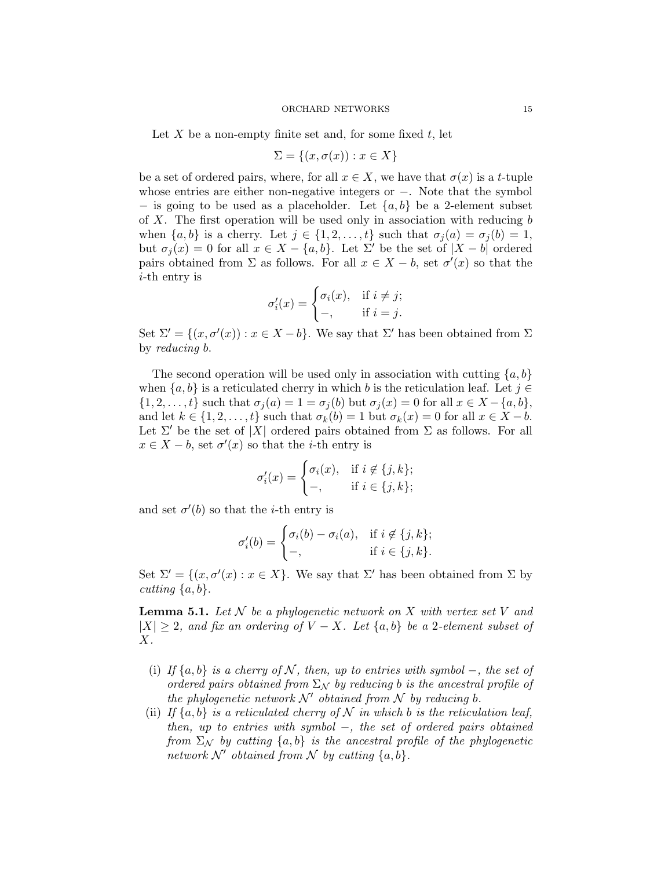Let X be a non-empty finite set and, for some fixed  $t$ , let

$$
\Sigma = \{(x, \sigma(x)) : x \in X\}
$$

be a set of ordered pairs, where, for all  $x \in X$ , we have that  $\sigma(x)$  is a t-tuple whose entries are either non-negative integers or −. Note that the symbol − is going to be used as a placeholder. Let  $\{a, b\}$  be a 2-element subset of X. The first operation will be used only in association with reducing  $b$ when  $\{a, b\}$  is a cherry. Let  $j \in \{1, 2, \ldots, t\}$  such that  $\sigma_j(a) = \sigma_j(b) = 1$ , but  $\sigma_i(x) = 0$  for all  $x \in X - \{a, b\}$ . Let  $\Sigma'$  be the set of  $|X - b|$  ordered pairs obtained from  $\Sigma$  as follows. For all  $x \in X - b$ , set  $\sigma'(x)$  so that the i-th entry is

$$
\sigma_i'(x) = \begin{cases} \sigma_i(x), & \text{if } i \neq j; \\ -, & \text{if } i = j. \end{cases}
$$

Set  $\Sigma' = \{(x, \sigma'(x)) : x \in X - b\}$ . We say that  $\Sigma'$  has been obtained from  $\Sigma$ by reducing b.

The second operation will be used only in association with cutting  $\{a, b\}$ when  ${a, b}$  is a reticulated cherry in which b is the reticulation leaf. Let  $j \in$  $\{1, 2, \ldots, t\}$  such that  $\sigma_i(a) = 1 = \sigma_i(b)$  but  $\sigma_i(x) = 0$  for all  $x \in X - \{a, b\}$ , and let  $k \in \{1, 2, \ldots, t\}$  such that  $\sigma_k(b) = 1$  but  $\sigma_k(x) = 0$  for all  $x \in X - b$ . Let  $\Sigma'$  be the set of |X| ordered pairs obtained from  $\Sigma$  as follows. For all  $x \in X - b$ , set  $\sigma'(x)$  so that the *i*-th entry is

$$
\sigma'_i(x) = \begin{cases} \sigma_i(x), & \text{if } i \notin \{j, k\}; \\ -, & \text{if } i \in \{j, k\}; \end{cases}
$$

and set  $\sigma'(b)$  so that the *i*-th entry is

$$
\sigma'_i(b) = \begin{cases} \sigma_i(b) - \sigma_i(a), & \text{if } i \notin \{j, k\}; \\ -, & \text{if } i \in \{j, k\}. \end{cases}
$$

Set  $\Sigma' = \{(x, \sigma'(x) : x \in X\}$ . We say that  $\Sigma'$  has been obtained from  $\Sigma$  by cutting  $\{a, b\}.$ 

**Lemma 5.1.** Let  $N$  be a phylogenetic network on  $X$  with vertex set  $V$  and  $|X| \geq 2$ , and fix an ordering of  $V - X$ . Let  $\{a, b\}$  be a 2-element subset of  $X$ .

- (i) If  $\{a, b\}$  is a cherry of N, then, up to entries with symbol –, the set of ordered pairs obtained from  $\Sigma_N$  by reducing b is the ancestral profile of the phylogenetic network  $\mathcal{N}'$  obtained from  $\mathcal N$  by reducing b.
- <span id="page-14-0"></span>(ii) If  $\{a, b\}$  is a reticulated cherry of N in which b is the reticulation leaf, then, up to entries with symbol −, the set of ordered pairs obtained from  $\Sigma_N$  by cutting  $\{a, b\}$  is the ancestral profile of the phylogenetic network N' obtained from N by cutting  $\{a, b\}$ .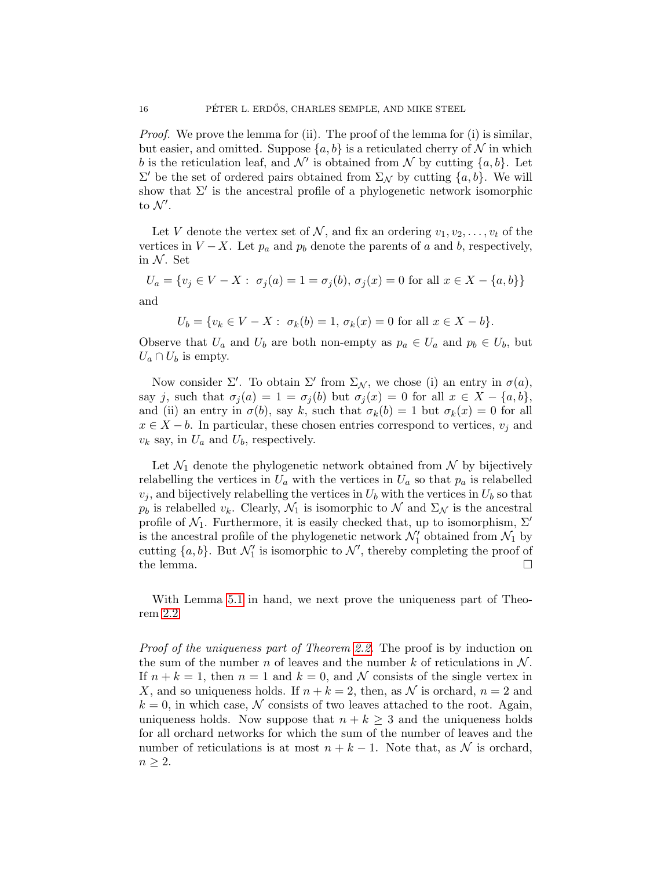Proof. We prove the lemma for (ii). The proof of the lemma for (i) is similar, but easier, and omitted. Suppose  $\{a, b\}$  is a reticulated cherry of N in which b is the reticulation leaf, and  $\mathcal{N}'$  is obtained from  $\mathcal N$  by cutting  $\{a, b\}$ . Let  $\Sigma'$  be the set of ordered pairs obtained from  $\Sigma_{\mathcal{N}}$  by cutting  $\{a, b\}$ . We will show that  $\Sigma'$  is the ancestral profile of a phylogenetic network isomorphic to  $\mathcal{N}'$ .

Let V denote the vertex set of N, and fix an ordering  $v_1, v_2, \ldots, v_t$  of the vertices in  $V - X$ . Let  $p_a$  and  $p_b$  denote the parents of a and b, respectively, in  $N$ . Set

$$
U_a = \{ v_j \in V - X : \sigma_j(a) = 1 = \sigma_j(b), \sigma_j(x) = 0 \text{ for all } x \in X - \{a, b\} \}
$$

and

$$
U_b = \{v_k \in V - X : \sigma_k(b) = 1, \sigma_k(x) = 0 \text{ for all } x \in X - b\}.
$$

Observe that  $U_a$  and  $U_b$  are both non-empty as  $p_a \in U_a$  and  $p_b \in U_b$ , but  $U_a \cap U_b$  is empty.

Now consider  $\Sigma'$ . To obtain  $\Sigma'$  from  $\Sigma_{\mathcal{N}}$ , we chose (i) an entry in  $\sigma(a)$ , say j, such that  $\sigma_j(a) = 1 = \sigma_j(b)$  but  $\sigma_j(x) = 0$  for all  $x \in X - \{a, b\}$ , and (ii) an entry in  $\sigma(b)$ , say k, such that  $\sigma_k(b) = 1$  but  $\sigma_k(x) = 0$  for all  $x \in X - b$ . In particular, these chosen entries correspond to vertices,  $v_i$  and  $v_k$  say, in  $U_a$  and  $U_b$ , respectively.

Let  $\mathcal{N}_1$  denote the phylogenetic network obtained from  $\mathcal N$  by bijectively relabelling the vertices in  $U_a$  with the vertices in  $U_a$  so that  $p_a$  is relabelled  $v_j$ , and bijectively relabelling the vertices in  $U_b$  with the vertices in  $U_b$  so that  $p_b$  is relabelled  $v_k$ . Clearly,  $\mathcal{N}_1$  is isomorphic to  $\mathcal N$  and  $\Sigma_{\mathcal N}$  is the ancestral profile of  $\mathcal{N}_1$ . Furthermore, it is easily checked that, up to isomorphism,  $\Sigma'$ is the ancestral profile of the phylogenetic network  $\mathcal{N}'_1$  obtained from  $\mathcal{N}_1$  by cutting  $\{a, b\}$ . But  $\mathcal{N}'_1$  is isomorphic to  $\mathcal{N}'$ , thereby completing the proof of the lemma.  $\Box$ 

With Lemma [5.1](#page-14-0) in hand, we next prove the uniqueness part of Theorem [2.2](#page-7-0)

Proof of the uniqueness part of Theorem [2.2.](#page-7-0) The proof is by induction on the sum of the number n of leaves and the number k of reticulations in  $\mathcal N$ . If  $n + k = 1$ , then  $n = 1$  and  $k = 0$ , and N consists of the single vertex in X, and so uniqueness holds. If  $n + k = 2$ , then, as N is orchard,  $n = 2$  and  $k = 0$ , in which case, N consists of two leaves attached to the root. Again, uniqueness holds. Now suppose that  $n + k \geq 3$  and the uniqueness holds for all orchard networks for which the sum of the number of leaves and the number of reticulations is at most  $n + k - 1$ . Note that, as N is orchard,  $n \geq 2$ .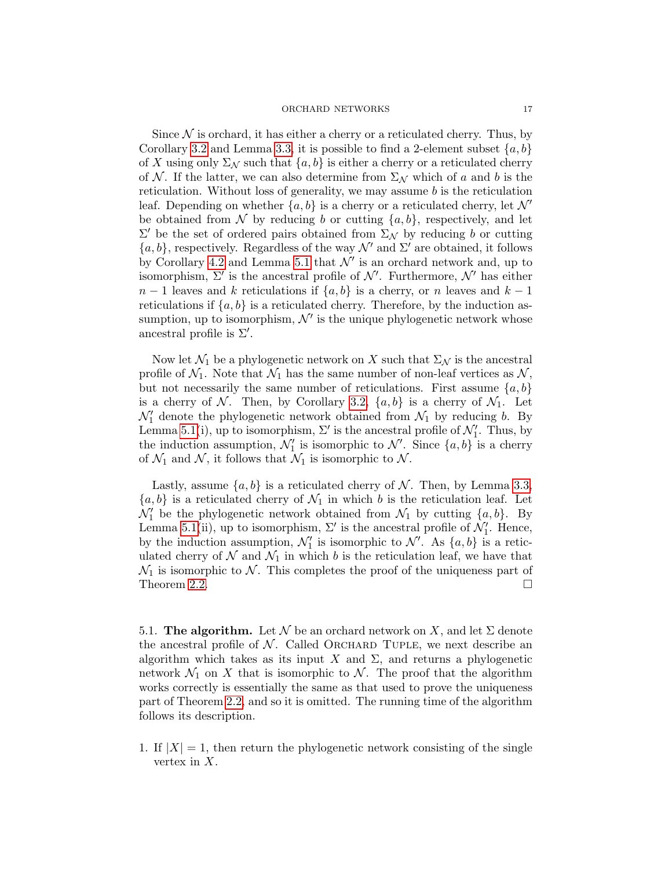Since  $\mathcal N$  is orchard, it has either a cherry or a reticulated cherry. Thus, by Corollary [3.2](#page-10-2) and Lemma [3.3,](#page-11-2) it is possible to find a 2-element subset  $\{a, b\}$ of X using only  $\Sigma_{\mathcal{N}}$  such that  $\{a, b\}$  is either a cherry or a reticulated cherry of N. If the latter, we can also determine from  $\Sigma_{\mathcal{N}}$  which of a and b is the reticulation. Without loss of generality, we may assume  $b$  is the reticulation leaf. Depending on whether  $\{a, b\}$  is a cherry or a reticulated cherry, let  $\mathcal{N}'$ be obtained from N by reducing b or cutting  $\{a, b\}$ , respectively, and let  $\Sigma'$  be the set of ordered pairs obtained from  $\Sigma_{\mathcal{N}}$  by reducing b or cutting  ${a, b}$ , respectively. Regardless of the way  $\mathcal{N}'$  and  $\Sigma'$  are obtained, it follows by Corollary [4.2](#page-13-1) and Lemma [5.1](#page-14-0) that  $\mathcal{N}'$  is an orchard network and, up to isomorphism,  $\Sigma'$  is the ancestral profile of  $\mathcal{N}'$ . Furthermore,  $\mathcal{N}'$  has either  $n-1$  leaves and k reticulations if  $\{a, b\}$  is a cherry, or n leaves and  $k-1$ reticulations if  $\{a, b\}$  is a reticulated cherry. Therefore, by the induction assumption, up to isomorphism,  $\mathcal{N}'$  is the unique phylogenetic network whose ancestral profile is  $\Sigma'$ .

Now let  $\mathcal{N}_1$  be a phylogenetic network on X such that  $\Sigma_{\mathcal{N}}$  is the ancestral profile of  $\mathcal{N}_1$ . Note that  $\mathcal{N}_1$  has the same number of non-leaf vertices as  $\mathcal{N}_2$ , but not necessarily the same number of reticulations. First assume  $\{a, b\}$ is a cherry of N. Then, by Corollary [3.2,](#page-10-2)  $\{a, b\}$  is a cherry of  $\mathcal{N}_1$ . Let  $\mathcal{N}_1'$  denote the phylogenetic network obtained from  $\mathcal{N}_1$  by reducing b. By Lemma [5.1\(](#page-14-0)i), up to isomorphism,  $\Sigma'$  is the ancestral profile of  $\mathcal{N}'_1$ . Thus, by the induction assumption,  $\mathcal{N}'_1$  is isomorphic to  $\mathcal{N}'$ . Since  $\{a, b\}$  is a cherry of  $\mathcal{N}_1$  and  $\mathcal{N}_2$ , it follows that  $\mathcal{N}_1$  is isomorphic to  $\mathcal{N}_1$ .

Lastly, assume  $\{a, b\}$  is a reticulated cherry of N. Then, by Lemma [3.3,](#page-11-2)  ${a, b}$  is a reticulated cherry of  $\mathcal{N}_1$  in which b is the reticulation leaf. Let  $\mathcal{N}_1'$  be the phylogenetic network obtained from  $\mathcal{N}_1$  by cutting  $\{a, b\}$ . By Lemma [5.1\(](#page-14-0)ii), up to isomorphism,  $\Sigma'$  is the ancestral profile of  $\mathcal{N}'_1$ . Hence, by the induction assumption,  $\mathcal{N}'_1$  is isomorphic to  $\mathcal{N}'$ . As  $\{a, b\}$  is a reticulated cherry of  $N$  and  $\mathcal{N}_1$  in which b is the reticulation leaf, we have that  $\mathcal{N}_1$  is isomorphic to  $\mathcal{N}$ . This completes the proof of the uniqueness part of Theorem [2.2.](#page-7-0)

5.1. The algorithm. Let N be an orchard network on X, and let  $\Sigma$  denote the ancestral profile of  $N$ . Called ORCHARD TUPLE, we next describe an algorithm which takes as its input X and  $\Sigma$ , and returns a phylogenetic network  $\mathcal{N}_1$  on X that is isomorphic to  $\mathcal{N}$ . The proof that the algorithm works correctly is essentially the same as that used to prove the uniqueness part of Theorem [2.2,](#page-7-0) and so it is omitted. The running time of the algorithm follows its description.

1. If  $|X| = 1$ , then return the phylogenetic network consisting of the single vertex in X.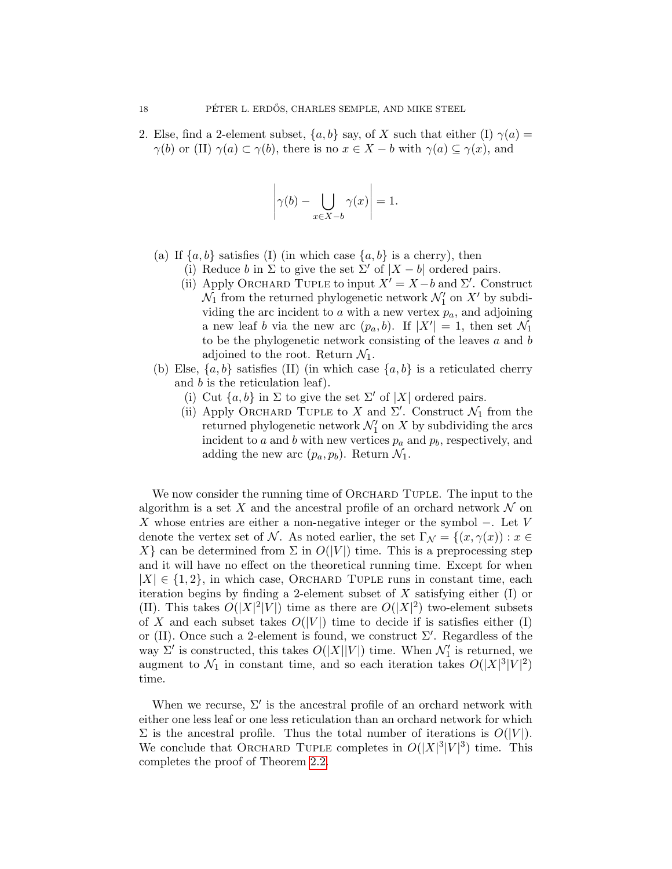2. Else, find a 2-element subset,  $\{a, b\}$  say, of X such that either (I)  $\gamma(a)$  =  $\gamma(b)$  or (II)  $\gamma(a) \subset \gamma(b)$ , there is no  $x \in X - b$  with  $\gamma(a) \subseteq \gamma(x)$ , and

$$
\left|\gamma(b) - \bigcup_{x \in X - b} \gamma(x)\right| = 1.
$$

- (a) If  $\{a, b\}$  satisfies (I) (in which case  $\{a, b\}$  is a cherry), then
	- (i) Reduce b in  $\Sigma$  to give the set  $\Sigma'$  of  $|X-b|$  ordered pairs.
		- (ii) Apply ORCHARD TUPLE to input  $X' = X b$  and  $\Sigma'$ . Construct  $\mathcal{N}_1$  from the returned phylogenetic network  $\mathcal{N}'_1$  on  $X'$  by subdividing the arc incident to  $a$  with a new vertex  $p_a$ , and adjoining a new leaf b via the new arc  $(p_a, b)$ . If  $|X'| = 1$ , then set  $\mathcal{N}_1$ to be the phylogenetic network consisting of the leaves  $a$  and  $b$ adjoined to the root. Return  $\mathcal{N}_1$ .
- (b) Else,  $\{a, b\}$  satisfies (II) (in which case  $\{a, b\}$  is a reticulated cherry and b is the reticulation leaf).
	- (i) Cut  $\{a, b\}$  in  $\Sigma$  to give the set  $\Sigma'$  of  $|X|$  ordered pairs.
	- (ii) Apply ORCHARD TUPLE to X and  $\Sigma'$ . Construct  $\mathcal{N}_1$  from the returned phylogenetic network  $\mathcal{N}_1'$  on X by subdividing the arcs incident to a and b with new vertices  $p_a$  and  $p_b$ , respectively, and adding the new arc  $(p_a, p_b)$ . Return  $\mathcal{N}_1$ .

We now consider the running time of ORCHARD TUPLE. The input to the algorithm is a set X and the ancestral profile of an orchard network  $\mathcal N$  on X whose entries are either a non-negative integer or the symbol  $-$ . Let V denote the vertex set of N. As noted earlier, the set  $\Gamma_{\mathcal{N}} = \{(x, \gamma(x)) : x \in$ X can be determined from  $\Sigma$  in  $O(|V|)$  time. This is a preprocessing step and it will have no effect on the theoretical running time. Except for when  $|X| \in \{1, 2\}$ , in which case, ORCHARD TUPLE runs in constant time, each iteration begins by finding a 2-element subset of X satisfying either  $(I)$  or (II). This takes  $O(|X|^2|V|)$  time as there are  $O(|X|^2)$  two-element subsets of X and each subset takes  $O(|V|)$  time to decide if is satisfies either (I) or (II). Once such a 2-element is found, we construct  $\Sigma'$ . Regardless of the way  $\Sigma'$  is constructed, this takes  $O(|X||V|)$  time. When  $\mathcal{N}'_1$  is returned, we augment to  $\mathcal{N}_1$  in constant time, and so each iteration takes  $O(|X|^3|V|^2)$ time.

When we recurse,  $\Sigma'$  is the ancestral profile of an orchard network with either one less leaf or one less reticulation than an orchard network for which  $\Sigma$  is the ancestral profile. Thus the total number of iterations is  $O(|V|)$ . We conclude that ORCHARD TUPLE completes in  $O(|X|^3|V|^3)$  time. This completes the proof of Theorem [2.2.](#page-7-0)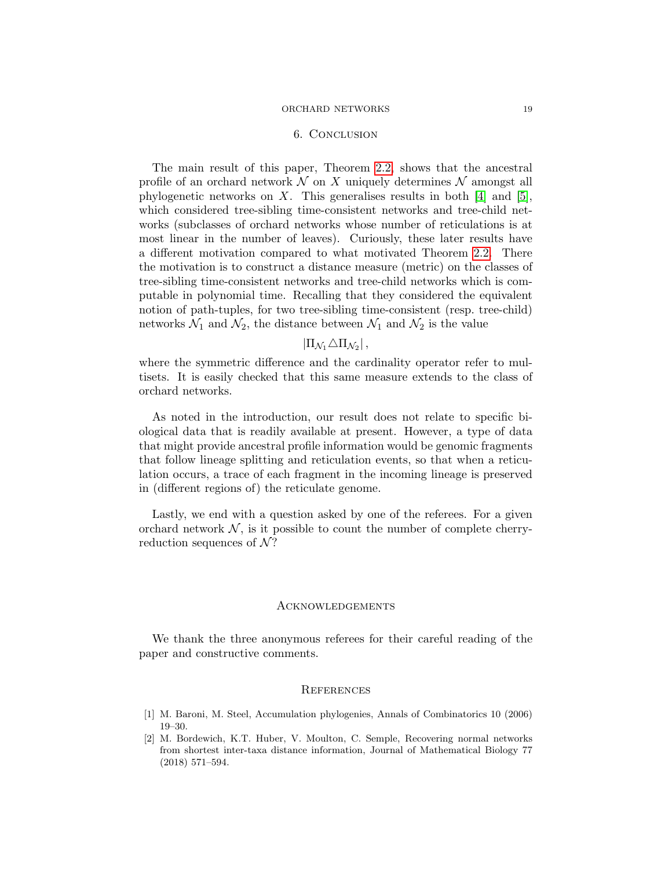#### 6. Conclusion

<span id="page-18-2"></span>The main result of this paper, Theorem [2.2,](#page-7-0) shows that the ancestral profile of an orchard network  $N$  on X uniquely determines  $N$  amongst all phylogenetic networks on X. This generalises results in both [\[4\]](#page-19-11) and [\[5\]](#page-19-12), which considered tree-sibling time-consistent networks and tree-child networks (subclasses of orchard networks whose number of reticulations is at most linear in the number of leaves). Curiously, these later results have a different motivation compared to what motivated Theorem [2.2.](#page-7-0) There the motivation is to construct a distance measure (metric) on the classes of tree-sibling time-consistent networks and tree-child networks which is computable in polynomial time. Recalling that they considered the equivalent notion of path-tuples, for two tree-sibling time-consistent (resp. tree-child) networks  $\mathcal{N}_1$  and  $\mathcal{N}_2$ , the distance between  $\mathcal{N}_1$  and  $\mathcal{N}_2$  is the value

# $|\Pi_{\mathcal{N}_1} \triangle \Pi_{\mathcal{N}_2}|$ ,

where the symmetric difference and the cardinality operator refer to multisets. It is easily checked that this same measure extends to the class of orchard networks.

As noted in the introduction, our result does not relate to specific biological data that is readily available at present. However, a type of data that might provide ancestral profile information would be genomic fragments that follow lineage splitting and reticulation events, so that when a reticulation occurs, a trace of each fragment in the incoming lineage is preserved in (different regions of) the reticulate genome.

Lastly, we end with a question asked by one of the referees. For a given orchard network  $N$ , is it possible to count the number of complete cherryreduction sequences of  $\mathcal{N}$ ?

## Acknowledgements

We thank the three anonymous referees for their careful reading of the paper and constructive comments.

## **REFERENCES**

- <span id="page-18-1"></span>[1] M. Baroni, M. Steel, Accumulation phylogenies, Annals of Combinatorics 10 (2006) 19–30.
- <span id="page-18-0"></span>[2] M. Bordewich, K.T. Huber, V. Moulton, C. Semple, Recovering normal networks from shortest inter-taxa distance information, Journal of Mathematical Biology 77 (2018) 571–594.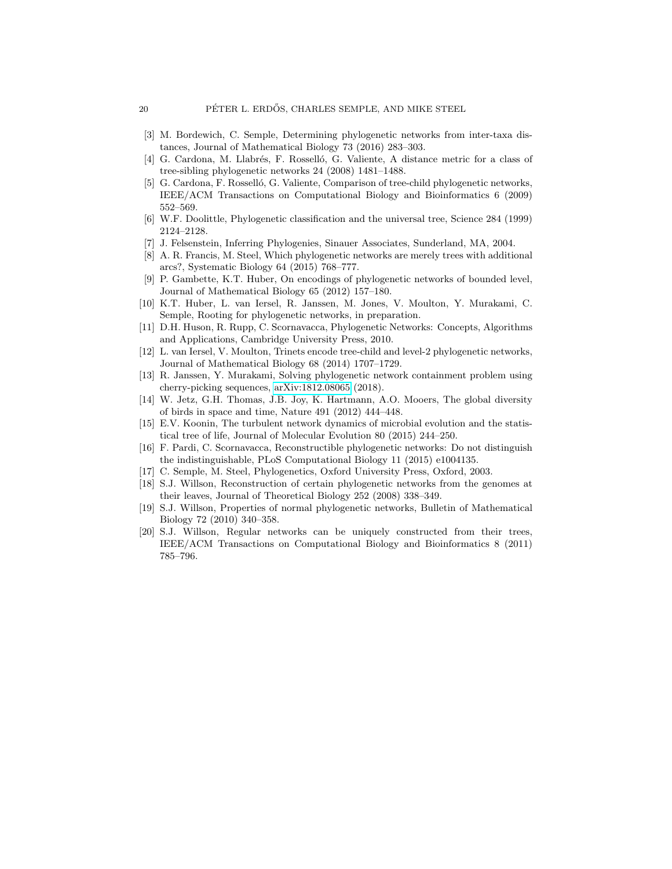- <span id="page-19-15"></span>[3] M. Bordewich, C. Semple, Determining phylogenetic networks from inter-taxa distances, Journal of Mathematical Biology 73 (2016) 283–303.
- <span id="page-19-11"></span>[4] G. Cardona, M. Llabrés, F. Rosselló, G. Valiente, A distance metric for a class of tree-sibling phylogenetic networks 24 (2008) 1481–1488.
- <span id="page-19-12"></span>[5] G. Cardona, F. Rosselló, G. Valiente, Comparison of tree-child phylogenetic networks, IEEE/ACM Transactions on Computational Biology and Bioinformatics 6 (2009) 552–569.
- <span id="page-19-3"></span>[6] W.F. Doolittle, Phylogenetic classification and the universal tree, Science 284 (1999) 2124–2128.
- <span id="page-19-0"></span>[7] J. Felsenstein, Inferring Phylogenies, Sinauer Associates, Sunderland, MA, 2004.
- <span id="page-19-16"></span>[8] A. R. Francis, M. Steel, Which phylogenetic networks are merely trees with additional arcs?, Systematic Biology 64 (2015) 768–777.
- <span id="page-19-6"></span>[9] P. Gambette, K.T. Huber, On encodings of phylogenetic networks of bounded level, Journal of Mathematical Biology 65 (2012) 157–180.
- <span id="page-19-17"></span>[10] K.T. Huber, L. van Iersel, R. Janssen, M. Jones, V. Moulton, Y. Murakami, C. Semple, Rooting for phylogenetic networks, in preparation.
- <span id="page-19-5"></span>[11] D.H. Huson, R. Rupp, C. Scornavacca, Phylogenetic Networks: Concepts, Algorithms and Applications, Cambridge University Press, 2010.
- <span id="page-19-7"></span>[12] L. van Iersel, V. Moulton, Trinets encode tree-child and level-2 phylogenetic networks, Journal of Mathematical Biology 68 (2014) 1707–1729.
- <span id="page-19-14"></span>[13] R. Janssen, Y. Murakami, Solving phylogenetic network containment problem using cherry-picking sequences, [arXiv:1812.08065](http://arxiv.org/abs/1812.08065) (2018).
- <span id="page-19-1"></span>[14] W. Jetz, G.H. Thomas, J.B. Joy, K. Hartmann, A.O. Mooers, The global diversity of birds in space and time, Nature 491 (2012) 444–448.
- <span id="page-19-4"></span>[15] E.V. Koonin, The turbulent network dynamics of microbial evolution and the statistical tree of life, Journal of Molecular Evolution 80 (2015) 244–250.
- <span id="page-19-9"></span>[16] F. Pardi, C. Scornavacca, Reconstructible phylogenetic networks: Do not distinguish the indistinguishable, PLoS Computational Biology 11 (2015) e1004135.
- <span id="page-19-2"></span>[17] C. Semple, M. Steel, Phylogenetics, Oxford University Press, Oxford, 2003.
- <span id="page-19-13"></span>[18] S.J. Willson, Reconstruction of certain phylogenetic networks from the genomes at their leaves, Journal of Theoretical Biology 252 (2008) 338–349.
- <span id="page-19-8"></span>[19] S.J. Willson, Properties of normal phylogenetic networks, Bulletin of Mathematical Biology 72 (2010) 340–358.
- <span id="page-19-10"></span>[20] S.J. Willson, Regular networks can be uniquely constructed from their trees, IEEE/ACM Transactions on Computational Biology and Bioinformatics 8 (2011) 785–796.